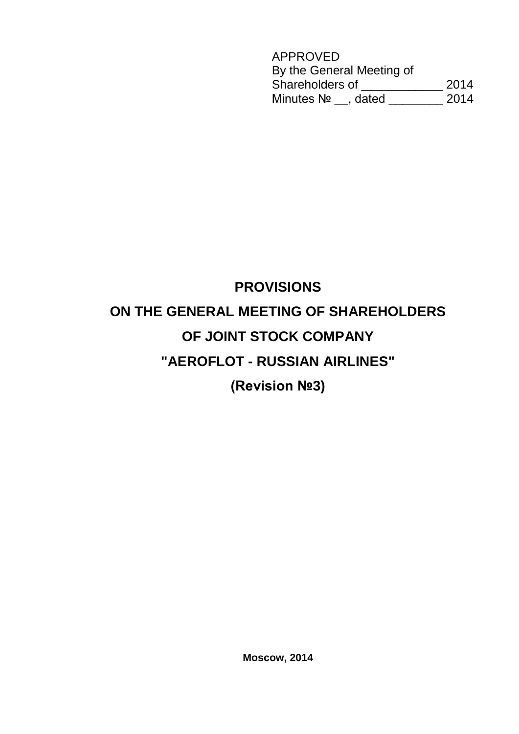APPROVED By the General Meeting of Shareholders of \_\_\_\_\_\_\_\_\_\_\_\_ 2014 Minutes № \_\_, dated \_\_\_\_\_\_\_\_ 2014

# **PROVISIONS ON THE GENERAL MEETING OF SHAREHOLDERS OF JOINT STOCK COMPANY "AEROFLOT - RUSSIAN AIRLINES"**

**(Revision №3)**

**Moscow, 2014**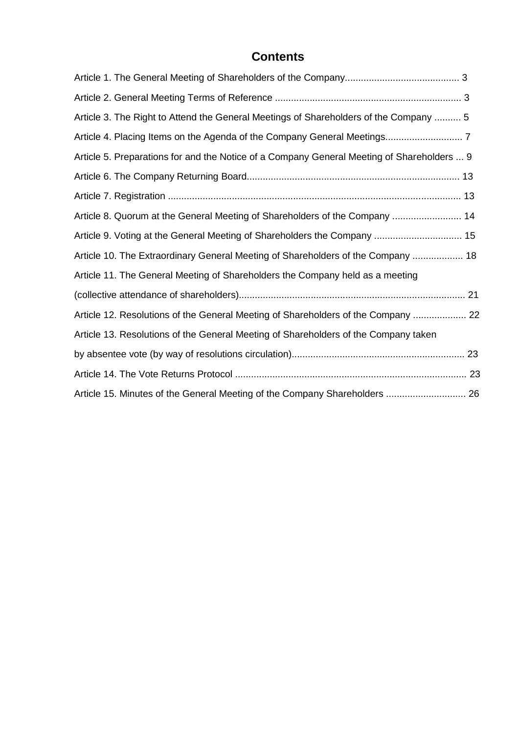## **Contents**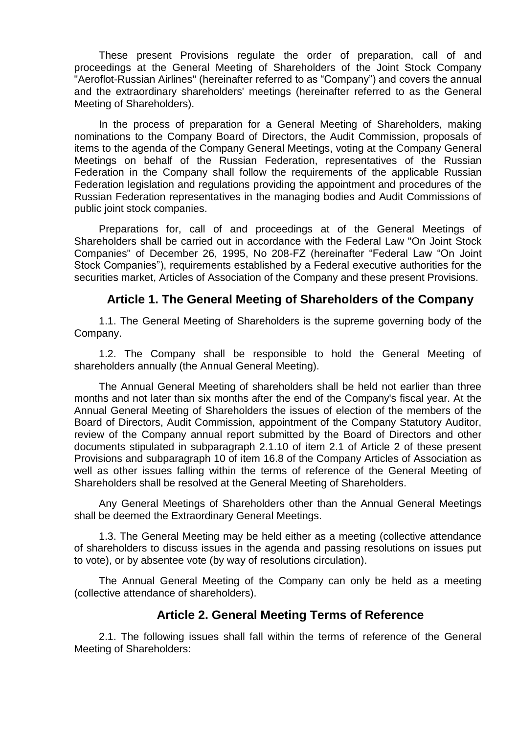These present Provisions regulate the order of preparation, call of and proceedings at the General Meeting of Shareholders of the Joint Stock Company "Aeroflot-Russian Airlines" (hereinafter referred to as "Company") and covers the annual and the extraordinary shareholders' meetings (hereinafter referred to as the General Meeting of Shareholders).

In the process of preparation for a General Meeting of Shareholders, making nominations to the Company Board of Directors, the Audit Commission, proposals of items to the agenda of the Company General Meetings, voting at the Company General Meetings on behalf of the Russian Federation, representatives of the Russian Federation in the Company shall follow the requirements of the applicable Russian Federation legislation and regulations providing the appointment and procedures of the Russian Federation representatives in the managing bodies and Audit Commissions of public joint stock companies.

Preparations for, call of and proceedings at of the General Meetings of Shareholders shall be carried out in accordance with the Federal Law "On Joint Stock Companies" of December 26, 1995, No 208-FZ (hereinafter "Federal Law "On Joint Stock Companies"), requirements established by a Federal executive authorities for the securities market, Articles of Association of the Company and these present Provisions.

#### **Article 1. The General Meeting of Shareholders of the Company**

1.1. The General Meeting of Shareholders is the supreme governing body of the Company.

1.2. The Company shall be responsible to hold the General Meeting of shareholders annually (the Annual General Meeting).

The Annual General Meeting of shareholders shall be held not earlier than three months and not later than six months after the end of the Company's fiscal year. At the Annual General Meeting of Shareholders the issues of election of the members of the Board of Directors, Audit Commission, appointment of the Company Statutory Auditor, review of the Company annual report submitted by the Board of Directors and other documents stipulated in subparagraph 2.1.10 of item 2.1 of Article 2 of these present Provisions and subparagraph 10 of item 16.8 of the Company Articles of Association as well as other issues falling within the terms of reference of the General Meeting of Shareholders shall be resolved at the General Meeting of Shareholders.

Any General Meetings of Shareholders other than the Annual General Meetings shall be deemed the Extraordinary General Meetings.

1.3. The General Meeting may be held either as a meeting (collective attendance of shareholders to discuss issues in the agenda and passing resolutions on issues put to vote), or by absentee vote (by way of resolutions circulation).

The Annual General Meeting of the Company can only be held as a meeting (collective attendance of shareholders).

#### **Article 2. General Meeting Terms of Reference**

2.1. The following issues shall fall within the terms of reference of the General Meeting of Shareholders: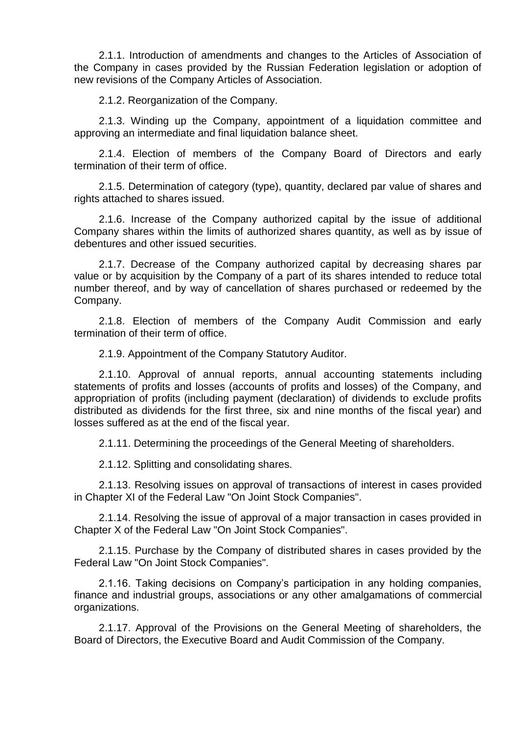2.1.1. Introduction of amendments and changes to the Articles of Association of the Company in cases provided by the Russian Federation legislation or adoption of new revisions of the Company Articles of Association.

2.1.2. Reorganization of the Company.

2.1.3. Winding up the Company, appointment of a liquidation committee and approving an intermediate and final liquidation balance sheet.

2.1.4. Election of members of the Company Board of Directors and early termination of their term of office.

2.1.5. Determination of category (type), quantity, declared par value of shares and rights attached to shares issued.

2.1.6. Increase of the Company authorized capital by the issue of additional Company shares within the limits of authorized shares quantity, as well as by issue of debentures and other issued securities.

2.1.7. Decrease of the Company authorized capital by decreasing shares par value or by acquisition by the Company of a part of its shares intended to reduce total number thereof, and by way of cancellation of shares purchased or redeemed by the Company.

2.1.8. Election of members of the Company Audit Commission and early termination of their term of office.

2.1.9. Appointment of the Company Statutory Auditor.

2.1.10. Approval of annual reports, annual accounting statements including statements of profits and losses (accounts of profits and losses) of the Company, and appropriation of profits (including payment (declaration) of dividends to exclude profits distributed as dividends for the first three, six and nine months of the fiscal year) and losses suffered as at the end of the fiscal year.

2.1.11. Determining the proceedings of the General Meeting of shareholders.

2.1.12. Splitting and consolidating shares.

2.1.13. Resolving issues on approval of transactions of interest in cases provided in Chapter XI of the Federal Law "On Joint Stock Companies".

2.1.14. Resolving the issue of approval of a major transaction in cases provided in Chapter X of the Federal Law "On Joint Stock Companies".

2.1.15. Purchase by the Company of distributed shares in cases provided by the Federal Law "On Joint Stock Companies".

2.1.16. Taking decisions on Company's participation in any holding companies, finance and industrial groups, associations or any other amalgamations of commercial organizations.

2.1.17. Approval of the Provisions on the General Meeting of shareholders, the Board of Directors, the Executive Board and Audit Commission of the Company.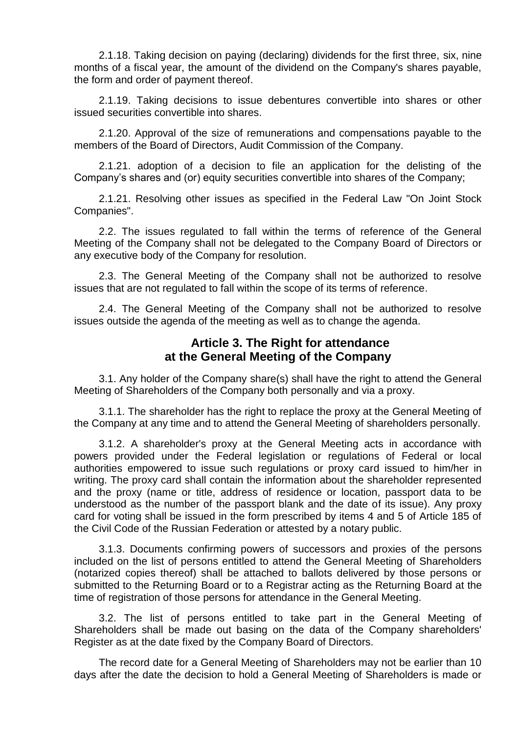2.1.18. Taking decision on paying (declaring) dividends for the first three, six, nine months of a fiscal year, the amount of the dividend on the Company's shares payable, the form and order of payment thereof.

2.1.19. Taking decisions to issue debentures convertible into shares or other issued securities convertible into shares.

2.1.20. Approval of the size of remunerations and compensations payable to the members of the Board of Directors, Audit Commission of the Company.

2.1.21. adoption of a decision to file an application for the delisting of the Company's shares and (or) equity securities convertible into shares of the Company;

2.1.21. Resolving other issues as specified in the Federal Law "On Joint Stock Companies".

2.2. The issues regulated to fall within the terms of reference of the General Meeting of the Company shall not be delegated to the Company Board of Directors or any executive body of the Company for resolution.

2.3. The General Meeting of the Company shall not be authorized to resolve issues that are not regulated to fall within the scope of its terms of reference.

2.4. The General Meeting of the Company shall not be authorized to resolve issues outside the agenda of the meeting as well as to change the agenda.

#### **Article 3. The Right for attendance at the General Meeting of the Company**

3.1. Any holder of the Company share(s) shall have the right to attend the General Meeting of Shareholders of the Company both personally and via a proxy.

3.1.1. The shareholder has the right to replace the proxy at the General Meeting of the Company at any time and to attend the General Meeting of shareholders personally.

3.1.2. A shareholder's proxy at the General Meeting acts in accordance with powers provided under the Federal legislation or regulations of Federal or local authorities empowered to issue such regulations or proxy card issued to him/her in writing. The proxy card shall contain the information about the shareholder represented and the proxy (name or title, address of residence or location, passport data to be understood as the number of the passport blank and the date of its issue). Any proxy card for voting shall be issued in the form prescribed by items 4 and 5 of Article 185 of the Civil Code of the Russian Federation or attested by a notary public.

3.1.3. Documents confirming powers of successors and proxies of the persons included on the list of persons entitled to attend the General Meeting of Shareholders (notarized copies thereof) shall be attached to ballots delivered by those persons or submitted to the Returning Board or to a Registrar acting as the Returning Board at the time of registration of those persons for attendance in the General Meeting.

3.2. The list of persons entitled to take part in the General Meeting of Shareholders shall be made out basing on the data of the Company shareholders' Register as at the date fixed by the Company Board of Directors.

The record date for a General Meeting of Shareholders may not be earlier than 10 days after the date the decision to hold a General Meeting of Shareholders is made or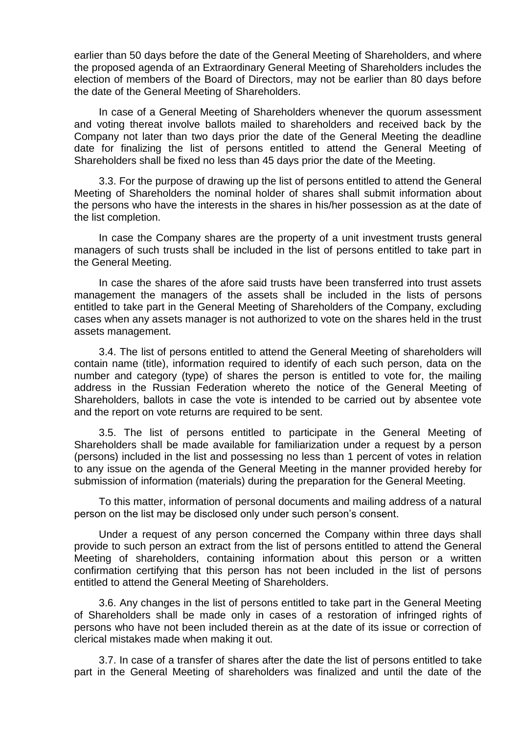earlier than 50 days before the date of the General Meeting of Shareholders, and where the proposed agenda of an Extraordinary General Meeting of Shareholders includes the election of members of the Board of Directors, may not be earlier than 80 days before the date of the General Meeting of Shareholders.

In case of a General Meeting of Shareholders whenever the quorum assessment and voting thereat involve ballots mailed to shareholders and received back by the Company not later than two days prior the date of the General Meeting the deadline date for finalizing the list of persons entitled to attend the General Meeting of Shareholders shall be fixed no less than 45 days prior the date of the Meeting.

3.3. For the purpose of drawing up the list of persons entitled to attend the General Meeting of Shareholders the nominal holder of shares shall submit information about the persons who have the interests in the shares in his/her possession as at the date of the list completion.

In case the Company shares are the property of a unit investment trusts general managers of such trusts shall be included in the list of persons entitled to take part in the General Meeting.

In case the shares of the afore said trusts have been transferred into trust assets management the managers of the assets shall be included in the lists of persons entitled to take part in the General Meeting of Shareholders of the Company, excluding cases when any assets manager is not authorized to vote on the shares held in the trust assets management.

3.4. The list of persons entitled to attend the General Meeting of shareholders will contain name (title), information required to identify of each such person, data on the number and category (type) of shares the person is entitled to vote for, the mailing address in the Russian Federation whereto the notice of the General Meeting of Shareholders, ballots in case the vote is intended to be carried out by absentee vote and the report on vote returns are required to be sent.

3.5. The list of persons entitled to participate in the General Meeting of Shareholders shall be made available for familiarization under a request by a person (persons) included in the list and possessing no less than 1 percent of votes in relation to any issue on the agenda of the General Meeting in the manner provided hereby for submission of information (materials) during the preparation for the General Meeting.

To this matter, information of personal documents and mailing address of a natural person on the list may be disclosed only under such person's consent.

Under a request of any person concerned the Company within three days shall provide to such person an extract from the list of persons entitled to attend the General Meeting of shareholders, containing information about this person or a written confirmation certifying that this person has not been included in the list of persons entitled to attend the General Meeting of Shareholders.

3.6. Any changes in the list of persons entitled to take part in the General Meeting of Shareholders shall be made only in cases of a restoration of infringed rights of persons who have not been included therein as at the date of its issue or correction of clerical mistakes made when making it out.

3.7. In case of a transfer of shares after the date the list of persons entitled to take part in the General Meeting of shareholders was finalized and until the date of the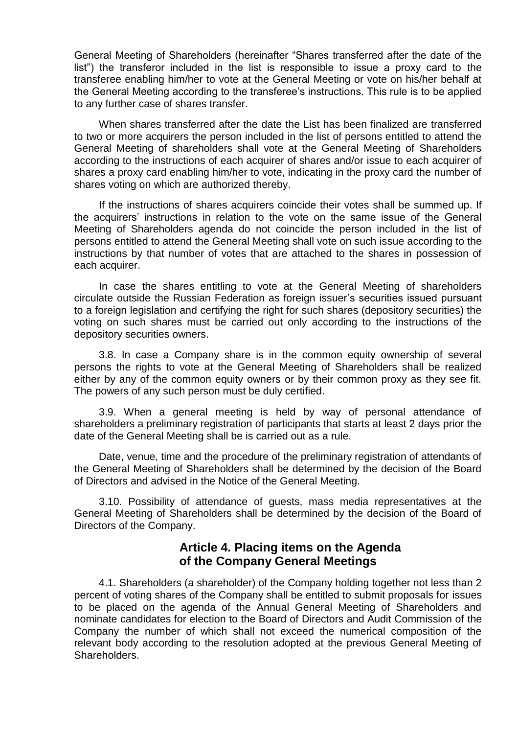General Meeting of Shareholders (hereinafter "Shares transferred after the date of the list") the transferor included in the list is responsible to issue a proxy card to the transferee enabling him/her to vote at the General Meeting or vote on his/her behalf at the General Meeting according to the transferee's instructions. This rule is to be applied to any further case of shares transfer.

When shares transferred after the date the List has been finalized are transferred to two or more acquirers the person included in the list of persons entitled to attend the General Meeting of shareholders shall vote at the General Meeting of Shareholders according to the instructions of each acquirer of shares and/or issue to each acquirer of shares a proxy card enabling him/her to vote, indicating in the proxy card the number of shares voting on which are authorized thereby.

If the instructions of shares acquirers coincide their votes shall be summed up. If the acquirers' instructions in relation to the vote on the same issue of the General Meeting of Shareholders agenda do not coincide the person included in the list of persons entitled to attend the General Meeting shall vote on such issue according to the instructions by that number of votes that are attached to the shares in possession of each acquirer.

In case the shares entitling to vote at the General Meeting of shareholders circulate outside the Russian Federation as foreign issuer's securities issued pursuant to a foreign legislation and certifying the right for such shares (depository securities) the voting on such shares must be carried out only according to the instructions of the depository securities owners.

3.8. In case a Company share is in the common equity ownership of several persons the rights to vote at the General Meeting of Shareholders shall be realized either by any of the common equity owners or by their common proxy as they see fit. The powers of any such person must be duly certified.

3.9. When a general meeting is held by way of personal attendance of shareholders a preliminary registration of participants that starts at least 2 days prior the date of the General Meeting shall be is carried out as a rule.

Date, venue, time and the procedure of the preliminary registration of attendants of the General Meeting of Shareholders shall be determined by the decision of the Board of Directors and advised in the Notice of the General Meeting.

3.10. Possibility of attendance of guests, mass media representatives at the General Meeting of Shareholders shall be determined by the decision of the Board of Directors of the Company.

## **Article 4. Placing items on the Agenda of the Company General Meetings**

4.1. Shareholders (a shareholder) of the Company holding together not less than 2 percent of voting shares of the Company shall be entitled to submit proposals for issues to be placed on the agenda of the Annual General Meeting of Shareholders and nominate candidates for election to the Board of Directors and Audit Commission of the Company the number of which shall not exceed the numerical composition of the relevant body according to the resolution adopted at the previous General Meeting of Shareholders.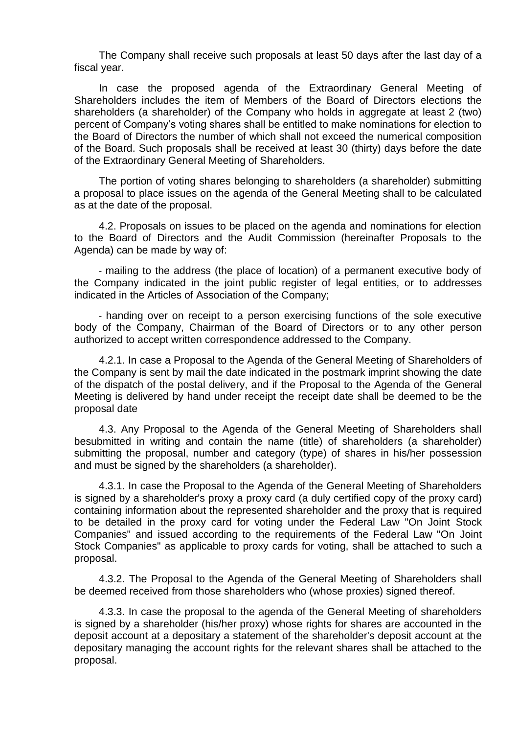The Company shall receive such proposals at least 50 days after the last day of a fiscal year.

In case the proposed agenda of the Extraordinary General Meeting of Shareholders includes the item of Members of the Board of Directors elections the shareholders (a shareholder) of the Company who holds in aggregate at least 2 (two) percent of Company's voting shares shall be entitled to make nominations for election to the Board of Directors the number of which shall not exceed the numerical composition of the Board. Such proposals shall be received at least 30 (thirty) days before the date of the Extraordinary General Meeting of Shareholders.

The portion of voting shares belonging to shareholders (a shareholder) submitting a proposal to place issues on the agenda of the General Meeting shall to be calculated as at the date of the proposal.

4.2. Proposals on issues to be placed on the agenda and nominations for election to the Board of Directors and the Audit Commission (hereinafter Proposals to the Agenda) can be made by way of:

- mailing to the address (the place of location) of a permanent executive body of the Company indicated in the joint public register of legal entities, or to addresses indicated in the Articles of Association of the Company;

- handing over on receipt to a person exercising functions of the sole executive body of the Company, Chairman of the Board of Directors or to any other person authorized to accept written correspondence addressed to the Company.

4.2.1. In case a Proposal to the Agenda of the General Meeting of Shareholders of the Company is sent by mail the date indicated in the postmark imprint showing the date of the dispatch of the postal delivery, and if the Proposal to the Agenda of the General Meeting is delivered by hand under receipt the receipt date shall be deemed to be the proposal date

4.3. Any Proposal to the Agenda of the General Meeting of Shareholders shall besubmitted in writing and contain the name (title) of shareholders (a shareholder) submitting the proposal, number and category (type) of shares in his/her possession and must be signed by the shareholders (a shareholder).

4.3.1. In case the Proposal to the Agenda of the General Meeting of Shareholders is signed by a shareholder's proxy a proxy card (a duly certified copy of the proxy card) containing information about the represented shareholder and the proxy that is required to be detailed in the proxy card for voting under the Federal Law "On Joint Stock Companies" and issued according to the requirements of the Federal Law "On Joint Stock Companies" as applicable to proxy cards for voting, shall be attached to such a proposal.

4.3.2. The Proposal to the Agenda of the General Meeting of Shareholders shall be deemed received from those shareholders who (whose proxies) signed thereof.

4.3.3. In case the proposal to the agenda of the General Meeting of shareholders is signed by a shareholder (his/her proxy) whose rights for shares are accounted in the deposit account at a depositary a statement of the shareholder's deposit account at the depositary managing the account rights for the relevant shares shall be attached to the proposal.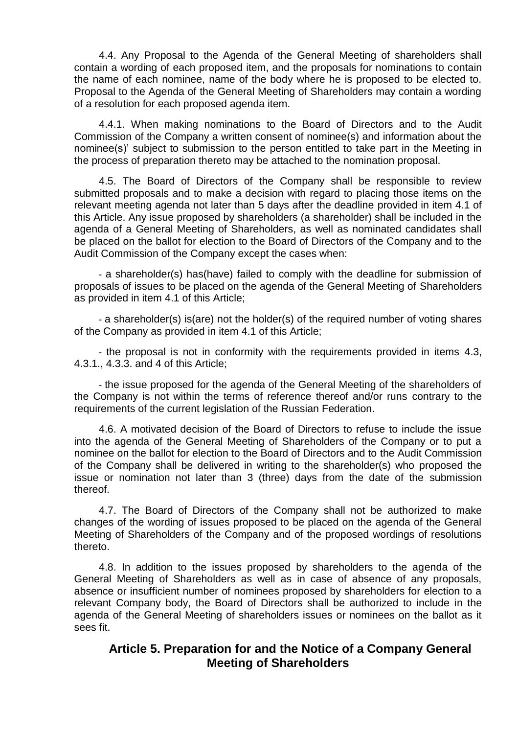4.4. Any Proposal to the Agenda of the General Meeting of shareholders shall contain a wording of each proposed item, and the proposals for nominations to contain the name of each nominee, name of the body where he is proposed to be elected to. Proposal to the Agenda of the General Meeting of Shareholders may contain a wording of a resolution for each proposed agenda item.

4.4.1. When making nominations to the Board of Directors and to the Audit Commission of the Company a written consent of nominee(s) and information about the nominee(s)' subject to submission to the person entitled to take part in the Meeting in the process of preparation thereto may be attached to the nomination proposal.

4.5. The Board of Directors of the Company shall be responsible to review submitted proposals and to make a decision with regard to placing those items on the relevant meeting agenda not later than 5 days after the deadline provided in item 4.1 of this Article. Any issue proposed by shareholders (a shareholder) shall be included in the agenda of a General Meeting of Shareholders, as well as nominated candidates shall be placed on the ballot for election to the Board of Directors of the Company and to the Audit Commission of the Company except the cases when:

- a shareholder(s) has(have) failed to comply with the deadline for submission of proposals of issues to be placed on the agenda of the General Meeting of Shareholders as provided in item 4.1 of this Article;

- a shareholder(s) is(are) not the holder(s) of the required number of voting shares of the Company as provided in item 4.1 of this Article;

- the proposal is not in conformity with the requirements provided in items 4.3, 4.3.1., 4.3.3. and 4 of this Article;

- the issue proposed for the agenda of the General Meeting of the shareholders of the Company is not within the terms of reference thereof and/or runs contrary to the requirements of the current legislation of the Russian Federation.

4.6. A motivated decision of the Board of Directors to refuse to include the issue into the agenda of the General Meeting of Shareholders of the Company or to put a nominee on the ballot for election to the Board of Directors and to the Audit Commission of the Company shall be delivered in writing to the shareholder(s) who proposed the issue or nomination not later than 3 (three) days from the date of the submission thereof.

4.7. The Board of Directors of the Company shall not be authorized to make changes of the wording of issues proposed to be placed on the agenda of the General Meeting of Shareholders of the Company and of the proposed wordings of resolutions thereto.

4.8. In addition to the issues proposed by shareholders to the agenda of the General Meeting of Shareholders as well as in case of absence of any proposals, absence or insufficient number of nominees proposed by shareholders for election to a relevant Company body, the Board of Directors shall be authorized to include in the agenda of the General Meeting of shareholders issues or nominees on the ballot as it sees fit.

## **Article 5. Preparation for and the Notice of a Company General Meeting of Shareholders**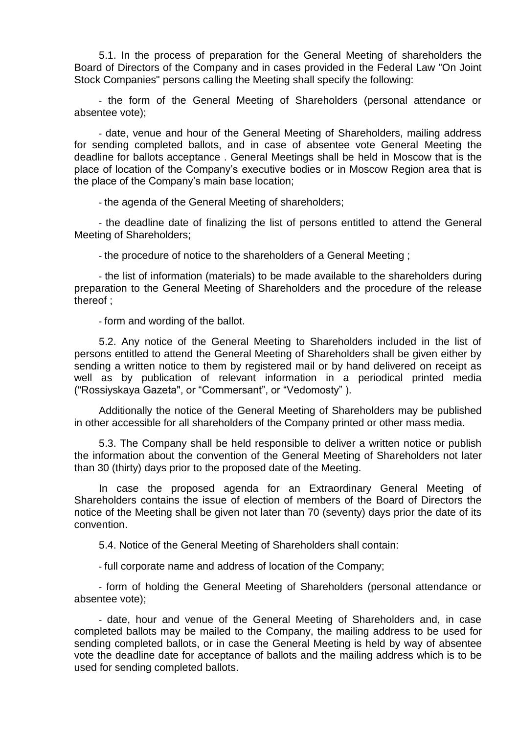5.1. In the process of preparation for the General Meeting of shareholders the Board of Directors of the Company and in cases provided in the Federal Law "On Joint Stock Companies" persons calling the Meeting shall specify the following:

- the form of the General Meeting of Shareholders (personal attendance or absentee vote);

- date, venue and hour of the General Meeting of Shareholders, mailing address for sending completed ballots, and in case of absentee vote General Meeting the deadline for ballots acceptance . General Meetings shall be held in Moscow that is the place of location of the Company's executive bodies or in Moscow Region area that is the place of the Company's main base location;

- the agenda of the General Meeting of shareholders;

- the deadline date of finalizing the list of persons entitled to attend the General Meeting of Shareholders;

- the procedure of notice to the shareholders of a General Meeting ;

- the list of information (materials) to be made available to the shareholders during preparation to the General Meeting of Shareholders and the procedure of the release thereof ;

- form and wording of the ballot.

5.2. Any notice of the General Meeting to Shareholders included in the list of persons entitled to attend the General Meeting of Shareholders shall be given either by sending a written notice to them by registered mail or by hand delivered on receipt as well as by publication of relevant information in a periodical printed media ("Rossiyskaya Gazeta", or "Commersant", or "Vedomosty" ).

Additionally the notice of the General Meeting of Shareholders may be published in other accessible for all shareholders of the Company printed or other mass media.

5.3. The Company shall be held responsible to deliver a written notice or publish the information about the convention of the General Meeting of Shareholders not later than 30 (thirty) days prior to the proposed date of the Meeting.

In case the proposed agenda for an Extraordinary General Meeting of Shareholders contains the issue of election of members of the Board of Directors the notice of the Meeting shall be given not later than 70 (seventy) days prior the date of its convention.

5.4. Notice of the General Meeting of Shareholders shall contain:

- full corporate name and address of location of the Company;

- form of holding the General Meeting of Shareholders (personal attendance or absentee vote);

- date, hour and venue of the General Meeting of Shareholders and, in case completed ballots may be mailed to the Company, the mailing address to be used for sending completed ballots, or in case the General Meeting is held by way of absentee vote the deadline date for acceptance of ballots and the mailing address which is to be used for sending completed ballots.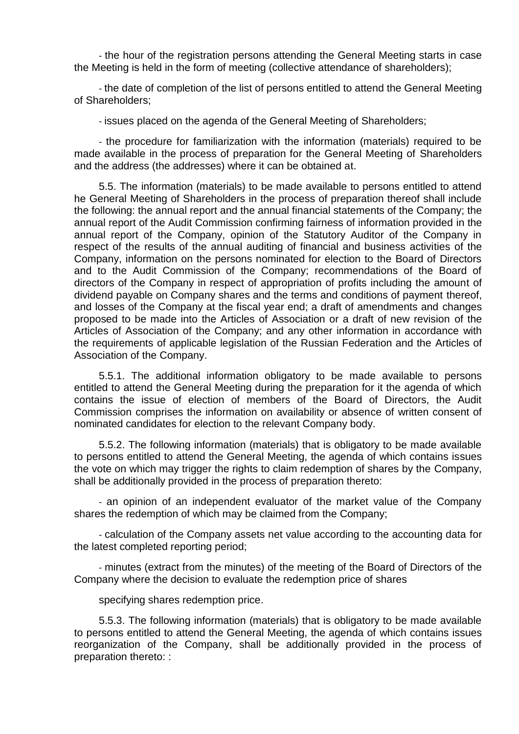- the hour of the registration persons attending the General Meeting starts in case the Meeting is held in the form of meeting (collective attendance of shareholders);

- the date of completion of the list of persons entitled to attend the General Meeting of Shareholders;

- issues placed on the agenda of the General Meeting of Shareholders;

- the procedure for familiarization with the information (materials) required to be made available in the process of preparation for the General Meeting of Shareholders and the address (the addresses) where it can be obtained at.

5.5. The information (materials) to be made available to persons entitled to attend he General Meeting of Shareholders in the process of preparation thereof shall include the following: the annual report and the annual financial statements of the Company; the annual report of the Audit Commission confirming fairness of information provided in the annual report of the Company, opinion of the Statutory Auditor of the Company in respect of the results of the annual auditing of financial and business activities of the Company, information on the persons nominated for election to the Board of Directors and to the Audit Commission of the Company; recommendations of the Board of directors of the Company in respect of appropriation of profits including the amount of dividend payable on Company shares and the terms and conditions of payment thereof, and losses of the Company at the fiscal year end; a draft of amendments and changes proposed to be made into the Articles of Association or a draft of new revision of the Articles of Association of the Company; and any other information in accordance with the requirements of applicable legislation of the Russian Federation and the Articles of Association of the Company.

5.5.1. The additional information obligatory to be made available to persons entitled to attend the General Meeting during the preparation for it the agenda of which contains the issue of election of members of the Board of Directors, the Audit Commission comprises the information on availability or absence of written consent of nominated candidates for election to the relevant Company body.

5.5.2. The following information (materials) that is obligatory to be made available to persons entitled to attend the General Meeting, the agenda of which contains issues the vote on which may trigger the rights to claim redemption of shares by the Company, shall be additionally provided in the process of preparation thereto:

- an opinion of an independent evaluator of the market value of the Company shares the redemption of which may be claimed from the Company;

- calculation of the Company assets net value according to the accounting data for the latest completed reporting period;

- minutes (extract from the minutes) of the meeting of the Board of Directors of the Company where the decision to evaluate the redemption price of shares

specifying shares redemption price.

5.5.3. The following information (materials) that is obligatory to be made available to persons entitled to attend the General Meeting, the agenda of which contains issues reorganization of the Company, shall be additionally provided in the process of preparation thereto: :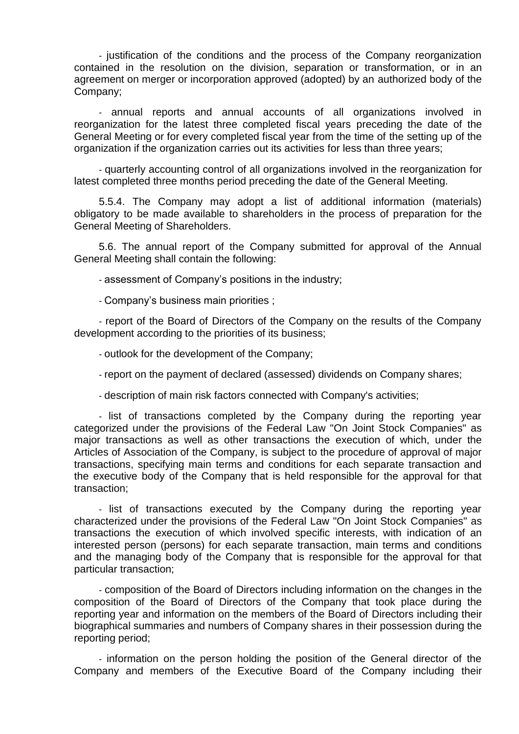- justification of the conditions and the process of the Company reorganization contained in the resolution on the division, separation or transformation, or in an agreement on merger or incorporation approved (adopted) by an authorized body of the Company;

- annual reports and annual accounts of all organizations involved in reorganization for the latest three completed fiscal years preceding the date of the General Meeting or for every completed fiscal year from the time of the setting up of the organization if the organization carries out its activities for less than three years;

- quarterly accounting control of all organizations involved in the reorganization for latest completed three months period preceding the date of the General Meeting.

5.5.4. The Company may adopt a list of additional information (materials) obligatory to be made available to shareholders in the process of preparation for the General Meeting of Shareholders.

5.6. The annual report of the Company submitted for approval of the Annual General Meeting shall contain the following:

- assessment of Company's positions in the industry;

- Company's business main priorities ;

- report of the Board of Directors of the Company on the results of the Company development according to the priorities of its business;

- outlook for the development of the Company;

- report on the payment of declared (assessed) dividends on Company shares;

- description of main risk factors connected with Company's activities;

- list of transactions completed by the Company during the reporting year categorized under the provisions of the Federal Law "On Joint Stock Companies" as major transactions as well as other transactions the execution of which, under the Articles of Association of the Company, is subject to the procedure of approval of major transactions, specifying main terms and conditions for each separate transaction and the executive body of the Company that is held responsible for the approval for that transaction;

- list of transactions executed by the Company during the reporting year characterized under the provisions of the Federal Law "On Joint Stock Companies" as transactions the execution of which involved specific interests, with indication of an interested person (persons) for each separate transaction, main terms and conditions and the managing body of the Company that is responsible for the approval for that particular transaction;

- composition of the Board of Directors including information on the changes in the composition of the Board of Directors of the Company that took place during the reporting year and information on the members of the Board of Directors including their biographical summaries and numbers of Company shares in their possession during the reporting period;

- information on the person holding the position of the General director of the Company and members of the Executive Board of the Company including their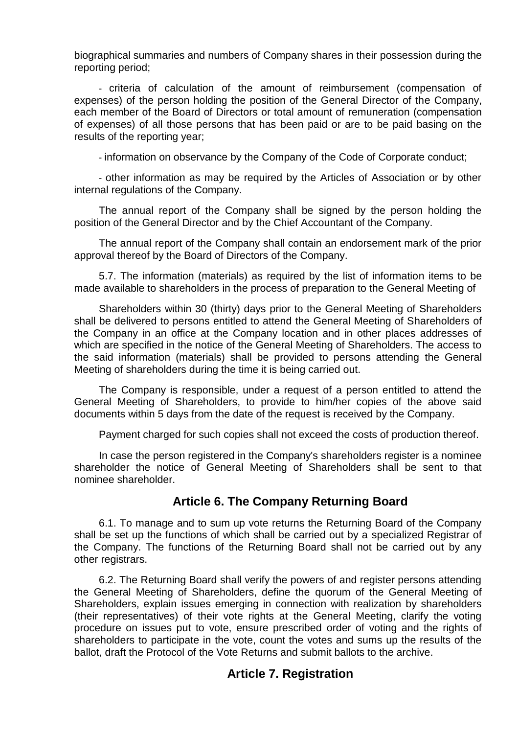biographical summaries and numbers of Company shares in their possession during the reporting period;

- criteria of calculation of the amount of reimbursement (compensation of expenses) of the person holding the position of the General Director of the Company, each member of the Board of Directors or total amount of remuneration (compensation of expenses) of all those persons that has been paid or are to be paid basing on the results of the reporting year;

- information on observance by the Company of the Code of Corporate conduct;

- other information as may be required by the Articles of Association or by other internal regulations of the Company.

The annual report of the Company shall be signed by the person holding the position of the General Director and by the Chief Accountant of the Company.

The annual report of the Company shall contain an endorsement mark of the prior approval thereof by the Board of Directors of the Company.

5.7. The information (materials) as required by the list of information items to be made available to shareholders in the process of preparation to the General Meeting of

Shareholders within 30 (thirty) days prior to the General Meeting of Shareholders shall be delivered to persons entitled to attend the General Meeting of Shareholders of the Company in an office at the Company location and in other places addresses of which are specified in the notice of the General Meeting of Shareholders. The access to the said information (materials) shall be provided to persons attending the General Meeting of shareholders during the time it is being carried out.

The Company is responsible, under a request of a person entitled to attend the General Meeting of Shareholders, to provide to him/her copies of the above said documents within 5 days from the date of the request is received by the Company.

Payment charged for such copies shall not exceed the costs of production thereof.

In case the person registered in the Company's shareholders register is a nominee shareholder the notice of General Meeting of Shareholders shall be sent to that nominee shareholder.

#### **Article 6. The Company Returning Board**

6.1. To manage and to sum up vote returns the Returning Board of the Company shall be set up the functions of which shall be carried out by a specialized Registrar of the Company. The functions of the Returning Board shall not be carried out by any other registrars.

6.2. The Returning Board shall verify the powers of and register persons attending the General Meeting of Shareholders, define the quorum of the General Meeting of Shareholders, explain issues emerging in connection with realization by shareholders (their representatives) of their vote rights at the General Meeting, clarify the voting procedure on issues put to vote, ensure prescribed order of voting and the rights of shareholders to participate in the vote, count the votes and sums up the results of the ballot, draft the Protocol of the Vote Returns and submit ballots to the archive.

#### **Article 7. Registration**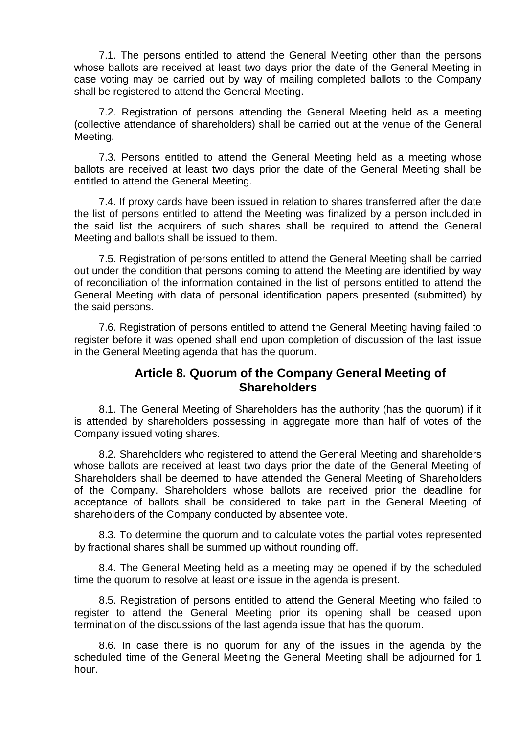7.1. The persons entitled to attend the General Meeting other than the persons whose ballots are received at least two days prior the date of the General Meeting in case voting may be carried out by way of mailing completed ballots to the Company shall be registered to attend the General Meeting.

7.2. Registration of persons attending the General Meeting held as a meeting (collective attendance of shareholders) shall be carried out at the venue of the General Meeting.

7.3. Persons entitled to attend the General Meeting held as a meeting whose ballots are received at least two days prior the date of the General Meeting shall be entitled to attend the General Meeting.

7.4. If proxy cards have been issued in relation to shares transferred after the date the list of persons entitled to attend the Meeting was finalized by a person included in the said list the acquirers of such shares shall be required to attend the General Meeting and ballots shall be issued to them.

7.5. Registration of persons entitled to attend the General Meeting shall be carried out under the condition that persons coming to attend the Meeting are identified by way of reconciliation of the information contained in the list of persons entitled to attend the General Meeting with data of personal identification papers presented (submitted) by the said persons.

7.6. Registration of persons entitled to attend the General Meeting having failed to register before it was opened shall end upon completion of discussion of the last issue in the General Meeting agenda that has the quorum.

#### **Article 8. Quorum of the Company General Meeting of Shareholders**

8.1. The General Meeting of Shareholders has the authority (has the quorum) if it is attended by shareholders possessing in aggregate more than half of votes of the Company issued voting shares.

8.2. Shareholders who registered to attend the General Meeting and shareholders whose ballots are received at least two days prior the date of the General Meeting of Shareholders shall be deemed to have attended the General Meeting of Shareholders of the Company. Shareholders whose ballots are received prior the deadline for acceptance of ballots shall be considered to take part in the General Meeting of shareholders of the Company conducted by absentee vote.

8.3. To determine the quorum and to calculate votes the partial votes represented by fractional shares shall be summed up without rounding off.

8.4. The General Meeting held as a meeting may be opened if by the scheduled time the quorum to resolve at least one issue in the agenda is present.

8.5. Registration of persons entitled to attend the General Meeting who failed to register to attend the General Meeting prior its opening shall be ceased upon termination of the discussions of the last agenda issue that has the quorum.

8.6. In case there is no quorum for any of the issues in the agenda by the scheduled time of the General Meeting the General Meeting shall be adjourned for 1 hour.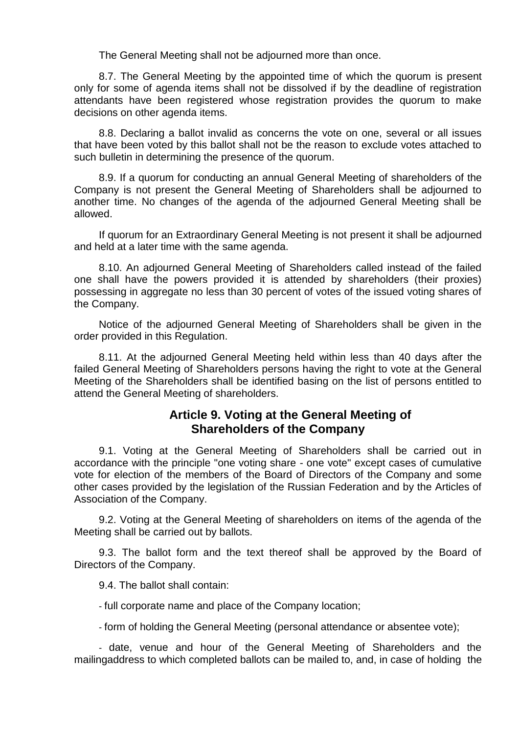The General Meeting shall not be adjourned more than once.

8.7. The General Meeting by the appointed time of which the quorum is present only for some of agenda items shall not be dissolved if by the deadline of registration attendants have been registered whose registration provides the quorum to make decisions on other agenda items.

8.8. Declaring a ballot invalid as concerns the vote on one, several or all issues that have been voted by this ballot shall not be the reason to exclude votes attached to such bulletin in determining the presence of the quorum.

8.9. If a quorum for conducting an annual General Meeting of shareholders of the Company is not present the General Meeting of Shareholders shall be adjourned to another time. No changes of the agenda of the adjourned General Meeting shall be allowed.

If quorum for an Extraordinary General Meeting is not present it shall be adjourned and held at a later time with the same agenda.

8.10. An adjourned General Meeting of Shareholders called instead of the failed one shall have the powers provided it is attended by shareholders (their proxies) possessing in aggregate no less than 30 percent of votes of the issued voting shares of the Company.

Notice of the adjourned General Meeting of Shareholders shall be given in the order provided in this Regulation.

8.11. At the adjourned General Meeting held within less than 40 days after the failed General Meeting of Shareholders persons having the right to vote at the General Meeting of the Shareholders shall be identified basing on the list of persons entitled to attend the General Meeting of shareholders.

## **Article 9. Voting at the General Meeting of Shareholders of the Company**

9.1. Voting at the General Meeting of Shareholders shall be carried out in accordance with the principle "one voting share - one vote" except cases of cumulative vote for election of the members of the Board of Directors of the Company and some other cases provided by the legislation of the Russian Federation and by the Articles of Association of the Company.

9.2. Voting at the General Meeting of shareholders on items of the agenda of the Meeting shall be carried out by ballots.

9.3. The ballot form and the text thereof shall be approved by the Board of Directors of the Company.

9.4. The ballot shall contain:

- full corporate name and place of the Company location;

- form of holding the General Meeting (personal attendance or absentee vote);

- date, venue and hour of the General Meeting of Shareholders and the mailingaddress to which completed ballots can be mailed to, and, in case of holding the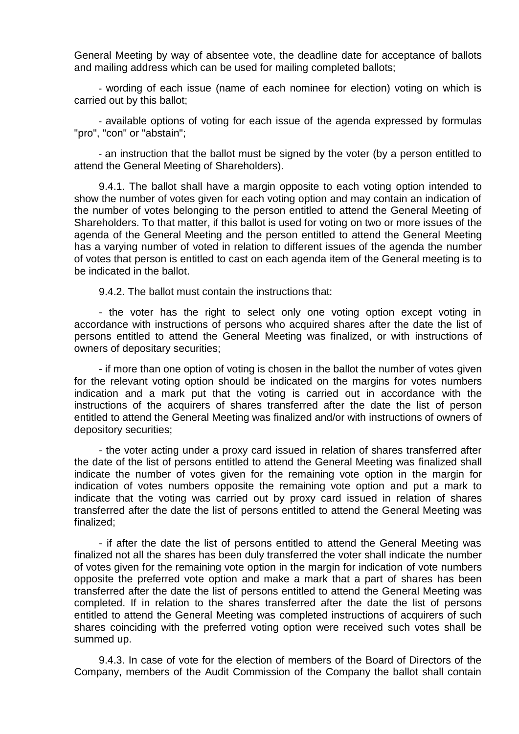General Meeting by way of absentee vote, the deadline date for acceptance of ballots and mailing address which can be used for mailing completed ballots;

- wording of each issue (name of each nominee for election) voting on which is carried out by this ballot;

- available options of voting for each issue of the agenda expressed by formulas "pro", "con" or "abstain";

- an instruction that the ballot must be signed by the voter (by a person entitled to attend the General Meeting of Shareholders).

9.4.1. The ballot shall have a margin opposite to each voting option intended to show the number of votes given for each voting option and may contain an indication of the number of votes belonging to the person entitled to attend the General Meeting of Shareholders. To that matter, if this ballot is used for voting on two or more issues of the agenda of the General Meeting and the person entitled to attend the General Meeting has a varying number of voted in relation to different issues of the agenda the number of votes that person is entitled to cast on each agenda item of the General meeting is to be indicated in the ballot.

9.4.2. The ballot must contain the instructions that:

- the voter has the right to select only one voting option except voting in accordance with instructions of persons who acquired shares after the date the list of persons entitled to attend the General Meeting was finalized, or with instructions of owners of depositary securities;

- if more than one option of voting is chosen in the ballot the number of votes given for the relevant voting option should be indicated on the margins for votes numbers indication and a mark put that the voting is carried out in accordance with the instructions of the acquirers of shares transferred after the date the list of person entitled to attend the General Meeting was finalized and/or with instructions of owners of depository securities;

- the voter acting under a proxy card issued in relation of shares transferred after the date of the list of persons entitled to attend the General Meeting was finalized shall indicate the number of votes given for the remaining vote option in the margin for indication of votes numbers opposite the remaining vote option and put a mark to indicate that the voting was carried out by proxy card issued in relation of shares transferred after the date the list of persons entitled to attend the General Meeting was finalized;

- if after the date the list of persons entitled to attend the General Meeting was finalized not all the shares has been duly transferred the voter shall indicate the number of votes given for the remaining vote option in the margin for indication of vote numbers opposite the preferred vote option and make a mark that a part of shares has been transferred after the date the list of persons entitled to attend the General Meeting was completed. If in relation to the shares transferred after the date the list of persons entitled to attend the General Meeting was completed instructions of acquirers of such shares coinciding with the preferred voting option were received such votes shall be summed up.

9.4.3. In case of vote for the election of members of the Board of Directors of the Company, members of the Audit Commission of the Company the ballot shall contain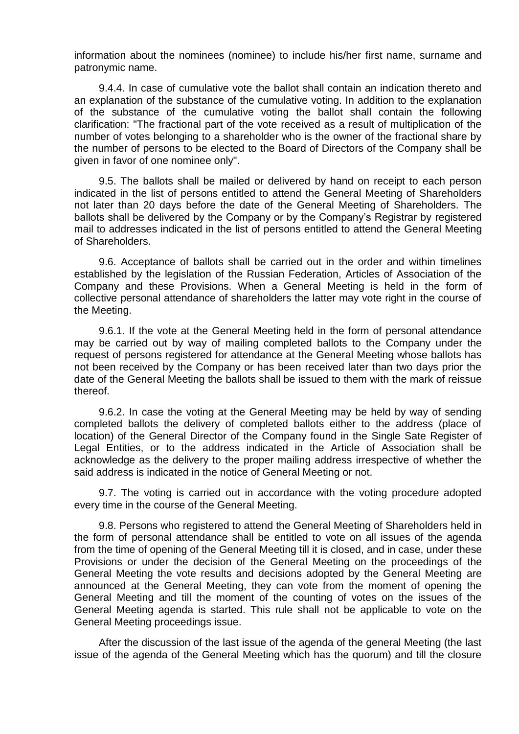information about the nominees (nominee) to include his/her first name, surname and patronymic name.

9.4.4. In case of cumulative vote the ballot shall contain an indication thereto and an explanation of the substance of the cumulative voting. In addition to the explanation of the substance of the cumulative voting the ballot shall contain the following clarification: "The fractional part of the vote received as a result of multiplication of the number of votes belonging to a shareholder who is the owner of the fractional share by the number of persons to be elected to the Board of Directors of the Company shall be given in favor of one nominee only".

9.5. The ballots shall be mailed or delivered by hand on receipt to each person indicated in the list of persons entitled to attend the General Meeting of Shareholders not later than 20 days before the date of the General Meeting of Shareholders. The ballots shall be delivered by the Company or by the Company's Registrar by registered mail to addresses indicated in the list of persons entitled to attend the General Meeting of Shareholders.

9.6. Acceptance of ballots shall be carried out in the order and within timelines established by the legislation of the Russian Federation, Articles of Association of the Company and these Provisions. When a General Meeting is held in the form of collective personal attendance of shareholders the latter may vote right in the course of the Meeting.

9.6.1. If the vote at the General Meeting held in the form of personal attendance may be carried out by way of mailing completed ballots to the Company under the request of persons registered for attendance at the General Meeting whose ballots has not been received by the Company or has been received later than two days prior the date of the General Meeting the ballots shall be issued to them with the mark of reissue thereof.

9.6.2. In case the voting at the General Meeting may be held by way of sending completed ballots the delivery of completed ballots either to the address (place of location) of the General Director of the Company found in the Single Sate Register of Legal Entities, or to the address indicated in the Article of Association shall be acknowledge as the delivery to the proper mailing address irrespective of whether the said address is indicated in the notice of General Meeting or not.

9.7. The voting is carried out in accordance with the voting procedure adopted every time in the course of the General Meeting.

9.8. Persons who registered to attend the General Meeting of Shareholders held in the form of personal attendance shall be entitled to vote on all issues of the agenda from the time of opening of the General Meeting till it is closed, and in case, under these Provisions or under the decision of the General Meeting on the proceedings of the General Meeting the vote results and decisions adopted by the General Meeting are announced at the General Meeting, they can vote from the moment of opening the General Meeting and till the moment of the counting of votes on the issues of the General Meeting agenda is started. This rule shall not be applicable to vote on the General Meeting proceedings issue.

After the discussion of the last issue of the agenda of the general Meeting (the last issue of the agenda of the General Meeting which has the quorum) and till the closure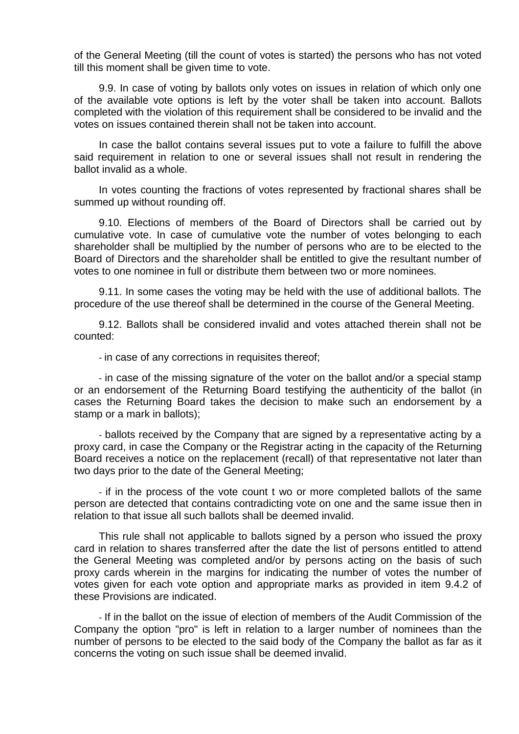of the General Meeting (till the count of votes is started) the persons who has not voted till this moment shall be given time to vote.

9.9. In case of voting by ballots only votes on issues in relation of which only one of the available vote options is left by the voter shall be taken into account. Ballots completed with the violation of this requirement shall be considered to be invalid and the votes on issues contained therein shall not be taken into account.

In case the ballot contains several issues put to vote a failure to fulfill the above said requirement in relation to one or several issues shall not result in rendering the ballot invalid as a whole.

In votes counting the fractions of votes represented by fractional shares shall be summed up without rounding off.

9.10. Elections of members of the Board of Directors shall be carried out by cumulative vote. In case of cumulative vote the number of votes belonging to each shareholder shall be multiplied by the number of persons who are to be elected to the Board of Directors and the shareholder shall be entitled to give the resultant number of votes to one nominee in full or distribute them between two or more nominees.

9.11. In some cases the voting may be held with the use of additional ballots. The procedure of the use thereof shall be determined in the course of the General Meeting.

9.12. Ballots shall be considered invalid and votes attached therein shall not be counted:

- in case of any corrections in requisites thereof;

- in case of the missing signature of the voter on the ballot and/or a special stamp or an endorsement of the Returning Board testifying the authenticity of the ballot (in cases the Returning Board takes the decision to make such an endorsement by a stamp or a mark in ballots);

- ballots received by the Company that are signed by a representative acting by a proxy card, in case the Company or the Registrar acting in the capacity of the Returning Board receives a notice on the replacement (recall) of that representative not later than two days prior to the date of the General Meeting;

- if in the process of the vote count t wo or more completed ballots of the same person are detected that contains contradicting vote on one and the same issue then in relation to that issue all such ballots shall be deemed invalid.

This rule shall not applicable to ballots signed by a person who issued the proxy card in relation to shares transferred after the date the list of persons entitled to attend the General Meeting was completed and/or by persons acting on the basis of such proxy cards wherein in the margins for indicating the number of votes the number of votes given for each vote option and appropriate marks as provided in item 9.4.2 of these Provisions are indicated.

- If in the ballot on the issue of election of members of the Audit Commission of the Company the option "pro" is left in relation to a larger number of nominees than the number of persons to be elected to the said body of the Company the ballot as far as it concerns the voting on such issue shall be deemed invalid.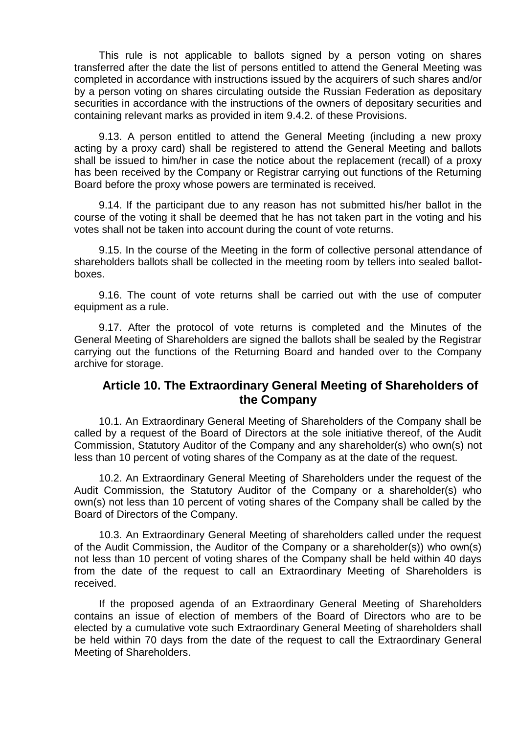This rule is not applicable to ballots signed by a person voting on shares transferred after the date the list of persons entitled to attend the General Meeting was completed in accordance with instructions issued by the acquirers of such shares and/or by a person voting on shares circulating outside the Russian Federation as depositary securities in accordance with the instructions of the owners of depositary securities and containing relevant marks as provided in item 9.4.2. of these Provisions.

9.13. A person entitled to attend the General Meeting (including a new proxy acting by a proxy card) shall be registered to attend the General Meeting and ballots shall be issued to him/her in case the notice about the replacement (recall) of a proxy has been received by the Company or Registrar carrying out functions of the Returning Board before the proxy whose powers are terminated is received.

9.14. If the participant due to any reason has not submitted his/her ballot in the course of the voting it shall be deemed that he has not taken part in the voting and his votes shall not be taken into account during the count of vote returns.

9.15. In the course of the Meeting in the form of collective personal attendance of shareholders ballots shall be collected in the meeting room by tellers into sealed ballotboxes.

9.16. The count of vote returns shall be carried out with the use of computer equipment as a rule.

9.17. After the protocol of vote returns is completed and the Minutes of the General Meeting of Shareholders are signed the ballots shall be sealed by the Registrar carrying out the functions of the Returning Board and handed over to the Company archive for storage.

## **Article 10. The Extraordinary General Meeting of Shareholders of the Company**

10.1. An Extraordinary General Meeting of Shareholders of the Company shall be called by a request of the Board of Directors at the sole initiative thereof, of the Audit Commission, Statutory Auditor of the Company and any shareholder(s) who own(s) not less than 10 percent of voting shares of the Company as at the date of the request.

10.2. An Extraordinary General Meeting of Shareholders under the request of the Audit Commission, the Statutory Auditor of the Company or a shareholder(s) who own(s) not less than 10 percent of voting shares of the Company shall be called by the Board of Directors of the Company.

10.3. An Extraordinary General Meeting of shareholders called under the request of the Audit Commission, the Auditor of the Company or a shareholder(s)) who own(s) not less than 10 percent of voting shares of the Company shall be held within 40 days from the date of the request to call an Extraordinary Meeting of Shareholders is received.

If the proposed agenda of an Extraordinary General Meeting of Shareholders contains an issue of election of members of the Board of Directors who are to be elected by a cumulative vote such Extraordinary General Meeting of shareholders shall be held within 70 days from the date of the request to call the Extraordinary General Meeting of Shareholders.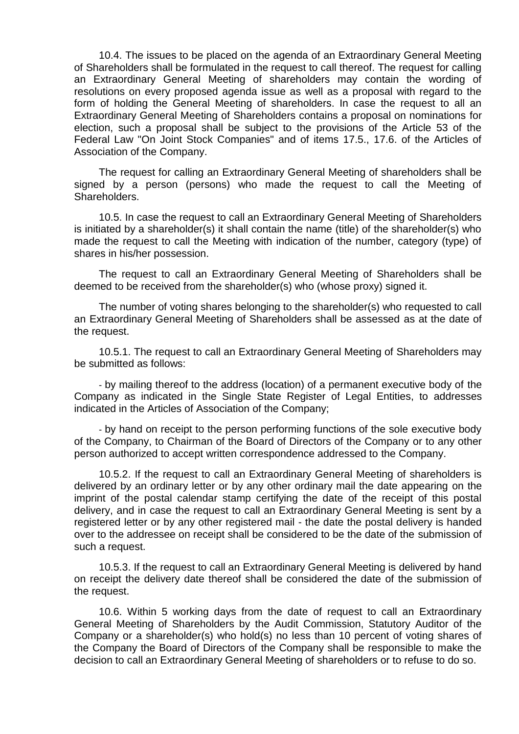10.4. The issues to be placed on the agenda of an Extraordinary General Meeting of Shareholders shall be formulated in the request to call thereof. The request for calling an Extraordinary General Meeting of shareholders may contain the wording of resolutions on every proposed agenda issue as well as a proposal with regard to the form of holding the General Meeting of shareholders. In case the request to all an Extraordinary General Meeting of Shareholders contains a proposal on nominations for election, such a proposal shall be subject to the provisions of the Article 53 of the Federal Law "On Joint Stock Companies" and of items 17.5., 17.6. of the Articles of Association of the Company.

The request for calling an Extraordinary General Meeting of shareholders shall be signed by a person (persons) who made the request to call the Meeting of Shareholders.

10.5. In case the request to call an Extraordinary General Meeting of Shareholders is initiated by a shareholder(s) it shall contain the name (title) of the shareholder(s) who made the request to call the Meeting with indication of the number, category (type) of shares in his/her possession.

The request to call an Extraordinary General Meeting of Shareholders shall be deemed to be received from the shareholder(s) who (whose proxy) signed it.

The number of voting shares belonging to the shareholder(s) who requested to call an Extraordinary General Meeting of Shareholders shall be assessed as at the date of the request.

10.5.1. The request to call an Extraordinary General Meeting of Shareholders may be submitted as follows:

- by mailing thereof to the address (location) of a permanent executive body of the Company as indicated in the Single State Register of Legal Entities, to addresses indicated in the Articles of Association of the Company;

- by hand on receipt to the person performing functions of the sole executive body of the Company, to Chairman of the Board of Directors of the Company or to any other person authorized to accept written correspondence addressed to the Company.

10.5.2. If the request to call an Extraordinary General Meeting of shareholders is delivered by an ordinary letter or by any other ordinary mail the date appearing on the imprint of the postal calendar stamp certifying the date of the receipt of this postal delivery, and in case the request to call an Extraordinary General Meeting is sent by a registered letter or by any other registered mail - the date the postal delivery is handed over to the addressee on receipt shall be considered to be the date of the submission of such a request.

10.5.3. If the request to call an Extraordinary General Meeting is delivered by hand on receipt the delivery date thereof shall be considered the date of the submission of the request.

10.6. Within 5 working days from the date of request to call an Extraordinary General Meeting of Shareholders by the Audit Commission, Statutory Auditor of the Company or a shareholder(s) who hold(s) no less than 10 percent of voting shares of the Company the Board of Directors of the Company shall be responsible to make the decision to call an Extraordinary General Meeting of shareholders or to refuse to do so.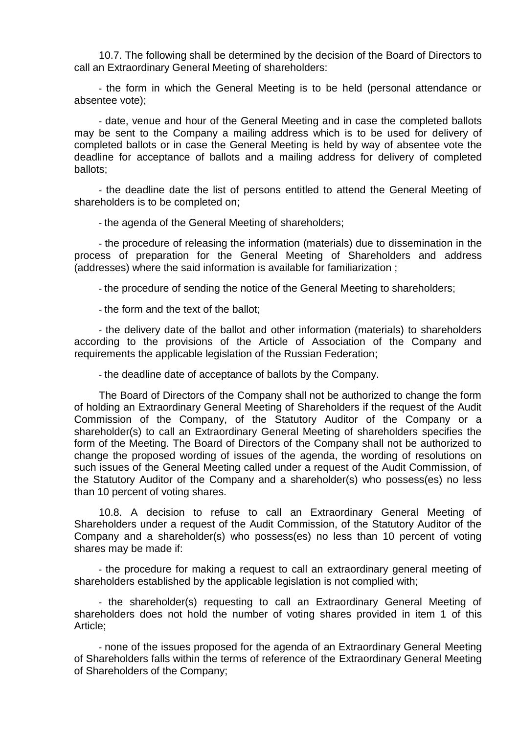10.7. The following shall be determined by the decision of the Board of Directors to call an Extraordinary General Meeting of shareholders:

- the form in which the General Meeting is to be held (personal attendance or absentee vote);

- date, venue and hour of the General Meeting and in case the completed ballots may be sent to the Company a mailing address which is to be used for delivery of completed ballots or in case the General Meeting is held by way of absentee vote the deadline for acceptance of ballots and a mailing address for delivery of completed ballots;

- the deadline date the list of persons entitled to attend the General Meeting of shareholders is to be completed on;

- the agenda of the General Meeting of shareholders;

- the procedure of releasing the information (materials) due to dissemination in the process of preparation for the General Meeting of Shareholders and address (addresses) where the said information is available for familiarization ;

- the procedure of sending the notice of the General Meeting to shareholders;

- the form and the text of the ballot;

- the delivery date of the ballot and other information (materials) to shareholders according to the provisions of the Article of Association of the Company and requirements the applicable legislation of the Russian Federation;

- the deadline date of acceptance of ballots by the Company.

The Board of Directors of the Company shall not be authorized to change the form of holding an Extraordinary General Meeting of Shareholders if the request of the Audit Commission of the Company, of the Statutory Auditor of the Company or a shareholder(s) to call an Extraordinary General Meeting of shareholders specifies the form of the Meeting. The Board of Directors of the Company shall not be authorized to change the proposed wording of issues of the agenda, the wording of resolutions on such issues of the General Meeting called under a request of the Audit Commission, of the Statutory Auditor of the Company and a shareholder(s) who possess(es) no less than 10 percent of voting shares.

10.8. A decision to refuse to call an Extraordinary General Meeting of Shareholders under a request of the Audit Commission, of the Statutory Auditor of the Company and a shareholder(s) who possess(es) no less than 10 percent of voting shares may be made if:

- the procedure for making a request to call an extraordinary general meeting of shareholders established by the applicable legislation is not complied with;

- the shareholder(s) requesting to call an Extraordinary General Meeting of shareholders does not hold the number of voting shares provided in item 1 of this Article;

- none of the issues proposed for the agenda of an Extraordinary General Meeting of Shareholders falls within the terms of reference of the Extraordinary General Meeting of Shareholders of the Company;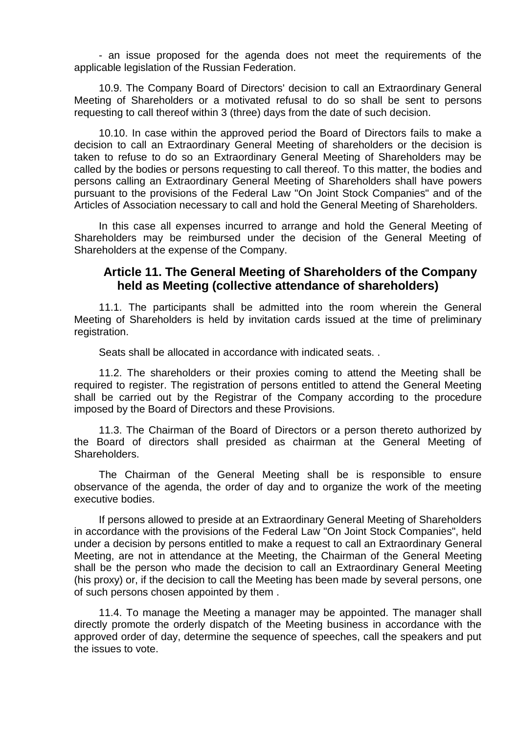- an issue proposed for the agenda does not meet the requirements of the applicable legislation of the Russian Federation.

10.9. The Company Board of Directors' decision to call an Extraordinary General Meeting of Shareholders or a motivated refusal to do so shall be sent to persons requesting to call thereof within 3 (three) days from the date of such decision.

10.10. In case within the approved period the Board of Directors fails to make a decision to call an Extraordinary General Meeting of shareholders or the decision is taken to refuse to do so an Extraordinary General Meeting of Shareholders may be called by the bodies or persons requesting to call thereof. To this matter, the bodies and persons calling an Extraordinary General Meeting of Shareholders shall have powers pursuant to the provisions of the Federal Law "On Joint Stock Companies" and of the Articles of Association necessary to call and hold the General Meeting of Shareholders.

In this case all expenses incurred to arrange and hold the General Meeting of Shareholders may be reimbursed under the decision of the General Meeting of Shareholders at the expense of the Company.

## **Article 11. The General Meeting of Shareholders of the Company held as Meeting (collective attendance of shareholders)**

11.1. The participants shall be admitted into the room wherein the General Meeting of Shareholders is held by invitation cards issued at the time of preliminary registration.

Seats shall be allocated in accordance with indicated seats. .

11.2. The shareholders or their proxies coming to attend the Meeting shall be required to register. The registration of persons entitled to attend the General Meeting shall be carried out by the Registrar of the Company according to the procedure imposed by the Board of Directors and these Provisions.

11.3. The Chairman of the Board of Directors or a person thereto authorized by the Board of directors shall presided as chairman at the General Meeting of Shareholders.

The Chairman of the General Meeting shall be is responsible to ensure observance of the agenda, the order of day and to organize the work of the meeting executive bodies.

If persons allowed to preside at an Extraordinary General Meeting of Shareholders in accordance with the provisions of the Federal Law "On Joint Stock Companies", held under a decision by persons entitled to make a request to call an Extraordinary General Meeting, are not in attendance at the Meeting, the Chairman of the General Meeting shall be the person who made the decision to call an Extraordinary General Meeting (his proxy) or, if the decision to call the Meeting has been made by several persons, one of such persons chosen appointed by them .

11.4. To manage the Meeting a manager may be appointed. The manager shall directly promote the orderly dispatch of the Meeting business in accordance with the approved order of day, determine the sequence of speeches, call the speakers and put the issues to vote.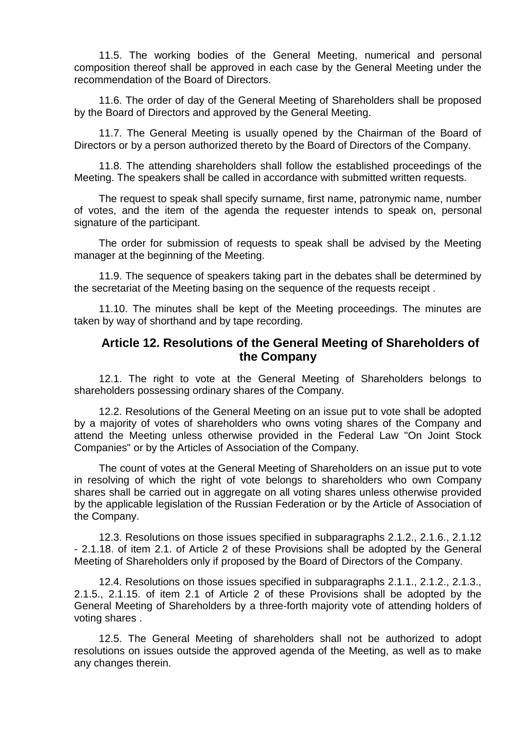11.5. The working bodies of the General Meeting, numerical and personal composition thereof shall be approved in each case by the General Meeting under the recommendation of the Board of Directors.

11.6. The order of day of the General Meeting of Shareholders shall be proposed by the Board of Directors and approved by the General Meeting.

11.7. The General Meeting is usually opened by the Chairman of the Board of Directors or by a person authorized thereto by the Board of Directors of the Company.

11.8. The attending shareholders shall follow the established proceedings of the Meeting. The speakers shall be called in accordance with submitted written requests.

The request to speak shall specify surname, first name, patronymic name, number of votes, and the item of the agenda the requester intends to speak on, personal signature of the participant.

The order for submission of requests to speak shall be advised by the Meeting manager at the beginning of the Meeting.

11.9. The sequence of speakers taking part in the debates shall be determined by the secretariat of the Meeting basing on the sequence of the requests receipt .

11.10. The minutes shall be kept of the Meeting proceedings. The minutes are taken by way of shorthand and by tape recording.

#### **Article 12. Resolutions of the General Meeting of Shareholders of the Company**

12.1. The right to vote at the General Meeting of Shareholders belongs to shareholders possessing ordinary shares of the Company.

12.2. Resolutions of the General Meeting on an issue put to vote shall be adopted by a majority of votes of shareholders who owns voting shares of the Company and attend the Meeting unless otherwise provided in the Federal Law "On Joint Stock Companies" or by the Articles of Association of the Company.

The count of votes at the General Meeting of Shareholders on an issue put to vote in resolving of which the right of vote belongs to shareholders who own Company shares shall be carried out in aggregate on all voting shares unless otherwise provided by the applicable legislation of the Russian Federation or by the Article of Association of the Company.

12.3. Resolutions on those issues specified in subparagraphs 2.1.2., 2.1.6., 2.1.12 - 2.1.18. of item 2.1. of Article 2 of these Provisions shall be adopted by the General Meeting of Shareholders only if proposed by the Board of Directors of the Company.

12.4. Resolutions on those issues specified in subparagraphs 2.1.1., 2.1.2., 2.1.3., 2.1.5., 2.1.15. of item 2.1 of Article 2 of these Provisions shall be adopted by the General Meeting of Shareholders by a three-forth majority vote of attending holders of voting shares .

12.5. The General Meeting of shareholders shall not be authorized to adopt resolutions on issues outside the approved agenda of the Meeting, as well as to make any changes therein.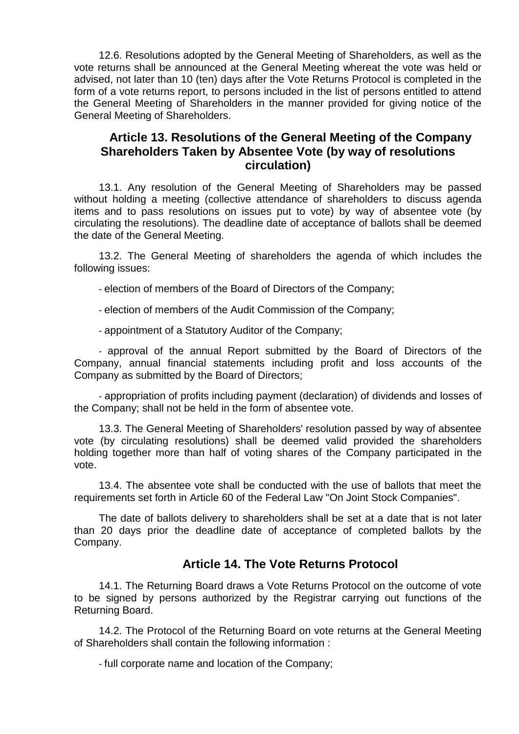12.6. Resolutions adopted by the General Meeting of Shareholders, as well as the vote returns shall be announced at the General Meeting whereat the vote was held or advised, not later than 10 (ten) days after the Vote Returns Protocol is completed in the form of a vote returns report, to persons included in the list of persons entitled to attend the General Meeting of Shareholders in the manner provided for giving notice of the General Meeting of Shareholders.

## **Article 13. Resolutions of the General Meeting of the Company Shareholders Taken by Absentee Vote (by way of resolutions circulation)**

13.1. Any resolution of the General Meeting of Shareholders may be passed without holding a meeting (collective attendance of shareholders to discuss agenda items and to pass resolutions on issues put to vote) by way of absentee vote (by circulating the resolutions). The deadline date of acceptance of ballots shall be deemed the date of the General Meeting.

13.2. The General Meeting of shareholders the agenda of which includes the following issues:

- election of members of the Board of Directors of the Company;

- election of members of the Audit Commission of the Company;

- appointment of a Statutory Auditor of the Company;

- approval of the annual Report submitted by the Board of Directors of the Company, annual financial statements including profit and loss accounts of the Company as submitted by the Board of Directors;

- appropriation of profits including payment (declaration) of dividends and losses of the Company; shall not be held in the form of absentee vote.

13.3. The General Meeting of Shareholders' resolution passed by way of absentee vote (by circulating resolutions) shall be deemed valid provided the shareholders holding together more than half of voting shares of the Company participated in the vote.

13.4. The absentee vote shall be conducted with the use of ballots that meet the requirements set forth in Article 60 of the Federal Law "On Joint Stock Companies".

The date of ballots delivery to shareholders shall be set at a date that is not later than 20 days prior the deadline date of acceptance of completed ballots by the Company.

## **Article 14. The Vote Returns Protocol**

14.1. The Returning Board draws a Vote Returns Protocol on the outcome of vote to be signed by persons authorized by the Registrar carrying out functions of the Returning Board.

14.2. The Protocol of the Returning Board on vote returns at the General Meeting of Shareholders shall contain the following information :

- full corporate name and location of the Company;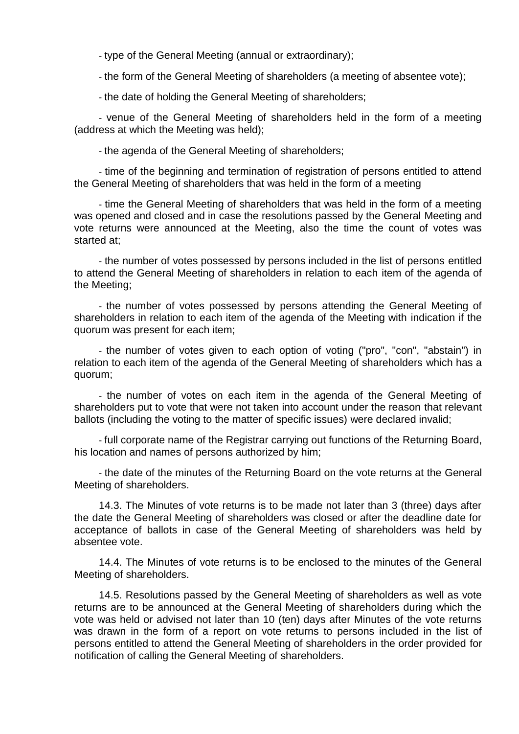- type of the General Meeting (annual or extraordinary);

- the form of the General Meeting of shareholders (a meeting of absentee vote);

- the date of holding the General Meeting of shareholders;

- venue of the General Meeting of shareholders held in the form of a meeting (address at which the Meeting was held);

- the agenda of the General Meeting of shareholders;

- time of the beginning and termination of registration of persons entitled to attend the General Meeting of shareholders that was held in the form of a meeting

- time the General Meeting of shareholders that was held in the form of a meeting was opened and closed and in case the resolutions passed by the General Meeting and vote returns were announced at the Meeting, also the time the count of votes was started at;

- the number of votes possessed by persons included in the list of persons entitled to attend the General Meeting of shareholders in relation to each item of the agenda of the Meeting;

- the number of votes possessed by persons attending the General Meeting of shareholders in relation to each item of the agenda of the Meeting with indication if the quorum was present for each item;

- the number of votes given to each option of voting ("pro", "con", "abstain") in relation to each item of the agenda of the General Meeting of shareholders which has a quorum;

- the number of votes on each item in the agenda of the General Meeting of shareholders put to vote that were not taken into account under the reason that relevant ballots (including the voting to the matter of specific issues) were declared invalid;

- full corporate name of the Registrar carrying out functions of the Returning Board, his location and names of persons authorized by him;

- the date of the minutes of the Returning Board on the vote returns at the General Meeting of shareholders.

14.3. The Minutes of vote returns is to be made not later than 3 (three) days after the date the General Meeting of shareholders was closed or after the deadline date for acceptance of ballots in case of the General Meeting of shareholders was held by absentee vote.

14.4. The Minutes of vote returns is to be enclosed to the minutes of the General Meeting of shareholders.

14.5. Resolutions passed by the General Meeting of shareholders as well as vote returns are to be announced at the General Meeting of shareholders during which the vote was held or advised not later than 10 (ten) days after Minutes of the vote returns was drawn in the form of a report on vote returns to persons included in the list of persons entitled to attend the General Meeting of shareholders in the order provided for notification of calling the General Meeting of shareholders.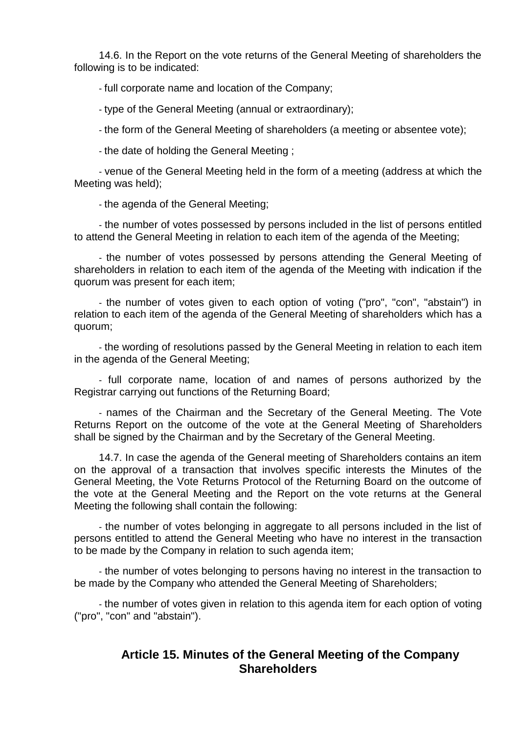14.6. In the Report on the vote returns of the General Meeting of shareholders the following is to be indicated:

- full corporate name and location of the Company;

- type of the General Meeting (annual or extraordinary);

- the form of the General Meeting of shareholders (a meeting or absentee vote);

- the date of holding the General Meeting ;

- venue of the General Meeting held in the form of a meeting (address at which the Meeting was held);

- the agenda of the General Meeting;

- the number of votes possessed by persons included in the list of persons entitled to attend the General Meeting in relation to each item of the agenda of the Meeting;

- the number of votes possessed by persons attending the General Meeting of shareholders in relation to each item of the agenda of the Meeting with indication if the quorum was present for each item;

- the number of votes given to each option of voting ("pro", "con", "abstain") in relation to each item of the agenda of the General Meeting of shareholders which has a quorum;

- the wording of resolutions passed by the General Meeting in relation to each item in the agenda of the General Meeting;

- full corporate name, location of and names of persons authorized by the Registrar carrying out functions of the Returning Board;

- names of the Chairman and the Secretary of the General Meeting. The Vote Returns Report on the outcome of the vote at the General Meeting of Shareholders shall be signed by the Chairman and by the Secretary of the General Meeting.

14.7. In case the agenda of the General meeting of Shareholders contains an item on the approval of a transaction that involves specific interests the Minutes of the General Meeting, the Vote Returns Protocol of the Returning Board on the outcome of the vote at the General Meeting and the Report on the vote returns at the General Meeting the following shall contain the following:

- the number of votes belonging in aggregate to all persons included in the list of persons entitled to attend the General Meeting who have no interest in the transaction to be made by the Company in relation to such agenda item;

- the number of votes belonging to persons having no interest in the transaction to be made by the Company who attended the General Meeting of Shareholders;

- the number of votes given in relation to this agenda item for each option of voting ("pro", "con" and "abstain").

## **Article 15. Minutes of the General Meeting of the Company Shareholders**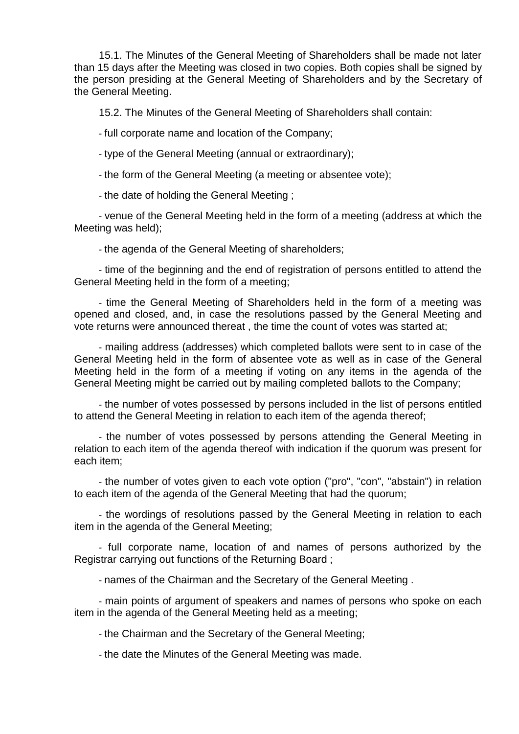15.1. The Minutes of the General Meeting of Shareholders shall be made not later than 15 days after the Meeting was closed in two copies. Both copies shall be signed by the person presiding at the General Meeting of Shareholders and by the Secretary of the General Meeting.

15.2. The Minutes of the General Meeting of Shareholders shall contain:

- full corporate name and location of the Company;

- type of the General Meeting (annual or extraordinary);

- the form of the General Meeting (a meeting or absentee vote);

- the date of holding the General Meeting ;

- venue of the General Meeting held in the form of a meeting (address at which the Meeting was held);

- the agenda of the General Meeting of shareholders;

- time of the beginning and the end of registration of persons entitled to attend the General Meeting held in the form of a meeting;

- time the General Meeting of Shareholders held in the form of a meeting was opened and closed, and, in case the resolutions passed by the General Meeting and vote returns were announced thereat , the time the count of votes was started at;

- mailing address (addresses) which completed ballots were sent to in case of the General Meeting held in the form of absentee vote as well as in case of the General Meeting held in the form of a meeting if voting on any items in the agenda of the General Meeting might be carried out by mailing completed ballots to the Company;

- the number of votes possessed by persons included in the list of persons entitled to attend the General Meeting in relation to each item of the agenda thereof;

- the number of votes possessed by persons attending the General Meeting in relation to each item of the agenda thereof with indication if the quorum was present for each item;

- the number of votes given to each vote option ("pro", "con", "abstain") in relation to each item of the agenda of the General Meeting that had the quorum;

- the wordings of resolutions passed by the General Meeting in relation to each item in the agenda of the General Meeting;

- full corporate name, location of and names of persons authorized by the Registrar carrying out functions of the Returning Board ;

- names of the Chairman and the Secretary of the General Meeting .

- main points of argument of speakers and names of persons who spoke on each item in the agenda of the General Meeting held as a meeting;

- the Chairman and the Secretary of the General Meeting;

- the date the Minutes of the General Meeting was made.